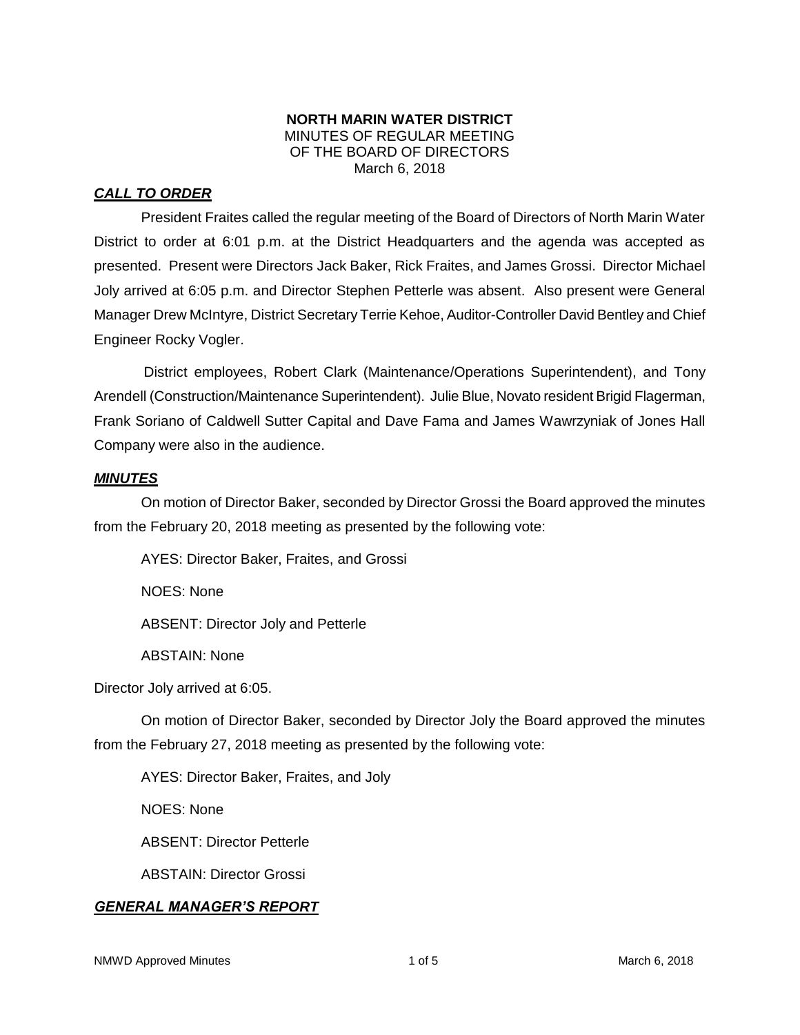#### **NORTH MARIN WATER DISTRICT** MINUTES OF REGULAR MEETING OF THE BOARD OF DIRECTORS March 6, 2018

# *CALL TO ORDER*

President Fraites called the regular meeting of the Board of Directors of North Marin Water District to order at 6:01 p.m. at the District Headquarters and the agenda was accepted as presented. Present were Directors Jack Baker, Rick Fraites, and James Grossi. Director Michael Joly arrived at 6:05 p.m. and Director Stephen Petterle was absent. Also present were General Manager Drew McIntyre, District Secretary Terrie Kehoe, Auditor-Controller David Bentley and Chief Engineer Rocky Vogler.

District employees, Robert Clark (Maintenance/Operations Superintendent), and Tony Arendell (Construction/Maintenance Superintendent). Julie Blue, Novato resident Brigid Flagerman, Frank Soriano of Caldwell Sutter Capital and Dave Fama and James Wawrzyniak of Jones Hall Company were also in the audience.

### *MINUTES*

On motion of Director Baker, seconded by Director Grossi the Board approved the minutes from the February 20, 2018 meeting as presented by the following vote:

AYES: Director Baker, Fraites, and Grossi

NOES: None

ABSENT: Director Joly and Petterle

ABSTAIN: None

Director Joly arrived at 6:05.

On motion of Director Baker, seconded by Director Joly the Board approved the minutes from the February 27, 2018 meeting as presented by the following vote:

AYES: Director Baker, Fraites, and Joly

NOES: None

ABSENT: Director Petterle

ABSTAIN: Director Grossi

### *GENERAL MANAGER'S REPORT*

NMWD Approved Minutes and the state of the 1 of 5 and 1 of 5 March 6, 2018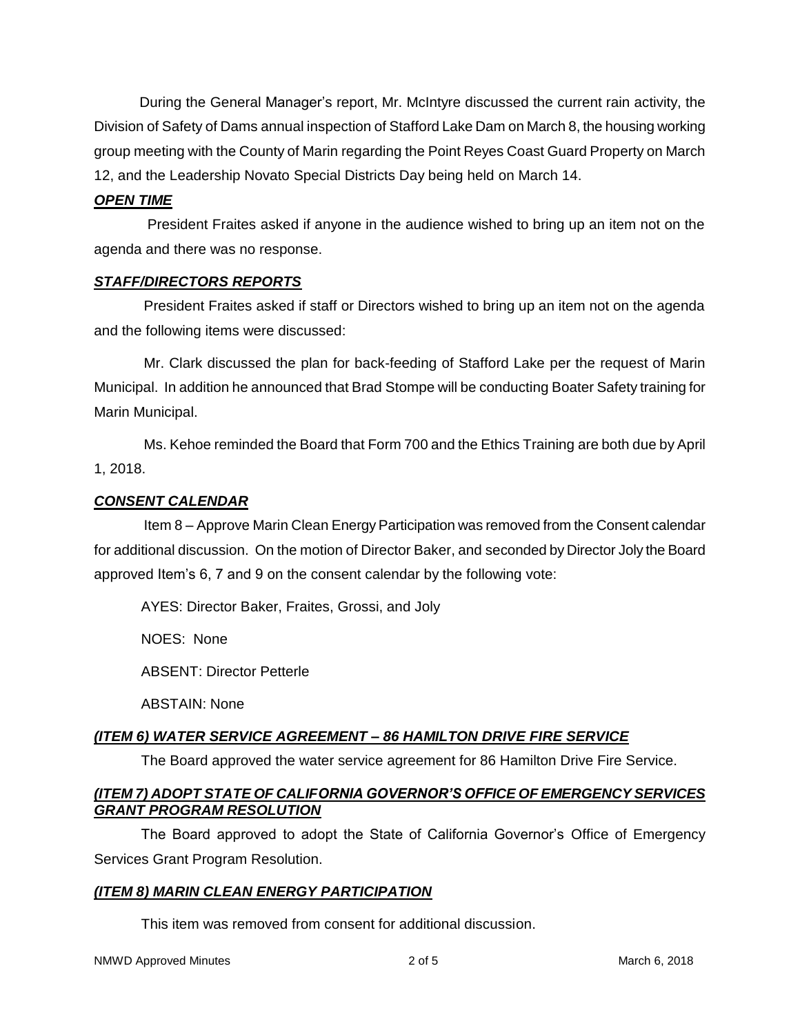During the General Manager's report, Mr. McIntyre discussed the current rain activity, the Division of Safety of Dams annual inspection of Stafford Lake Dam on March 8, the housing working group meeting with the County of Marin regarding the Point Reyes Coast Guard Property on March 12, and the Leadership Novato Special Districts Day being held on March 14.

### *OPEN TIME*

President Fraites asked if anyone in the audience wished to bring up an item not on the agenda and there was no response.

### *STAFF/DIRECTORS REPORTS*

President Fraites asked if staff or Directors wished to bring up an item not on the agenda and the following items were discussed:

Mr. Clark discussed the plan for back-feeding of Stafford Lake per the request of Marin Municipal. In addition he announced that Brad Stompe will be conducting Boater Safety training for Marin Municipal.

Ms. Kehoe reminded the Board that Form 700 and the Ethics Training are both due by April 1, 2018.

## *CONSENT CALENDAR*

Item 8 – Approve Marin Clean Energy Participation was removed from the Consent calendar for additional discussion. On the motion of Director Baker, and seconded by Director Joly the Board approved Item's 6, 7 and 9 on the consent calendar by the following vote:

AYES: Director Baker, Fraites, Grossi, and Joly

NOES: None

ABSENT: Director Petterle

ABSTAIN: None

# *(ITEM 6) WATER SERVICE AGREEMENT – 86 HAMILTON DRIVE FIRE SERVICE*

The Board approved the water service agreement for 86 Hamilton Drive Fire Service.

## *(ITEM 7) ADOPT STATE OF CALIFORNIA GOVERNOR'S OFFICE OF EMERGENCY SERVICES GRANT PROGRAM RESOLUTION*

The Board approved to adopt the State of California Governor's Office of Emergency Services Grant Program Resolution.

# *(ITEM 8) MARIN CLEAN ENERGY PARTICIPATION*

This item was removed from consent for additional discussion.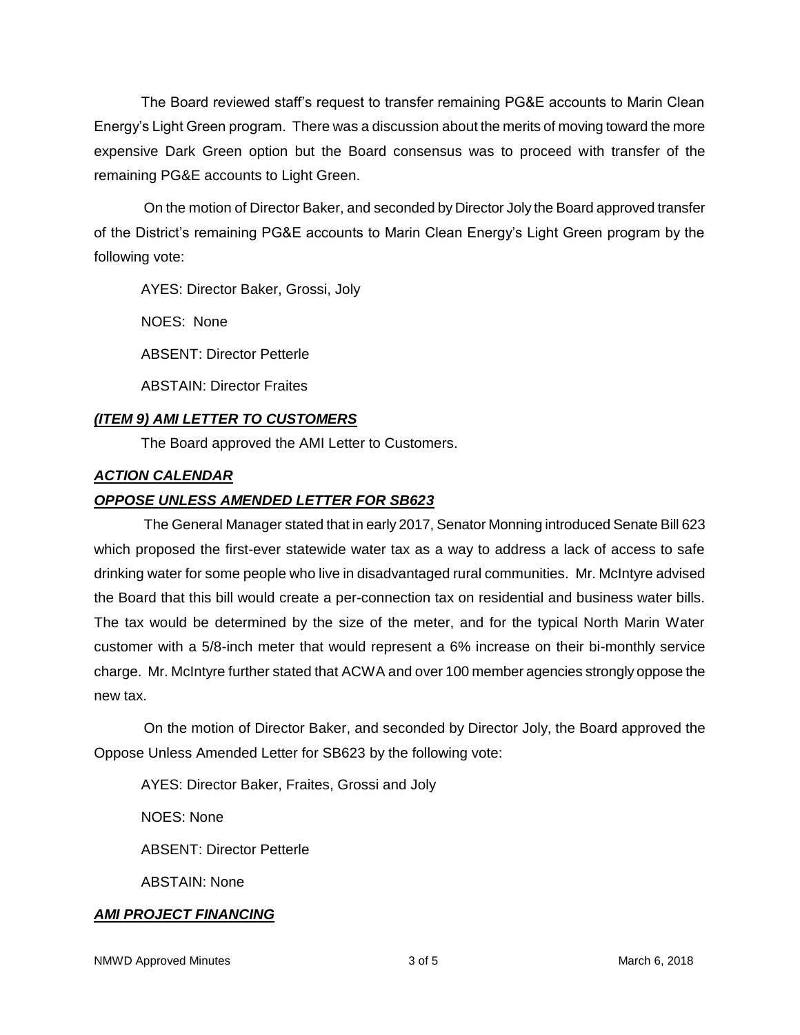The Board reviewed staff's request to transfer remaining PG&E accounts to Marin Clean Energy's Light Green program. There was a discussion about the merits of moving toward the more expensive Dark Green option but the Board consensus was to proceed with transfer of the remaining PG&E accounts to Light Green.

On the motion of Director Baker, and seconded by Director Joly the Board approved transfer of the District's remaining PG&E accounts to Marin Clean Energy's Light Green program by the following vote:

AYES: Director Baker, Grossi, Joly

NOES: None

ABSENT: Director Petterle

ABSTAIN: Director Fraites

## *(ITEM 9) AMI LETTER TO CUSTOMERS*

The Board approved the AMI Letter to Customers.

## *ACTION CALENDAR*

## *OPPOSE UNLESS AMENDED LETTER FOR SB623*

The General Manager stated that in early 2017, Senator Monning introduced Senate Bill 623 which proposed the first-ever statewide water tax as a way to address a lack of access to safe drinking water for some people who live in disadvantaged rural communities. Mr. McIntyre advised the Board that this bill would create a per-connection tax on residential and business water bills. The tax would be determined by the size of the meter, and for the typical North Marin Water customer with a 5/8-inch meter that would represent a 6% increase on their bi-monthly service charge. Mr. McIntyre further stated that ACWA and over 100 member agencies strongly oppose the new tax.

On the motion of Director Baker, and seconded by Director Joly, the Board approved the Oppose Unless Amended Letter for SB623 by the following vote:

AYES: Director Baker, Fraites, Grossi and Joly

NOES: None

ABSENT: Director Petterle

ABSTAIN: None

# *AMI PROJECT FINANCING*

NMWD Approved Minutes and the state of 3 of 5 March 6, 2018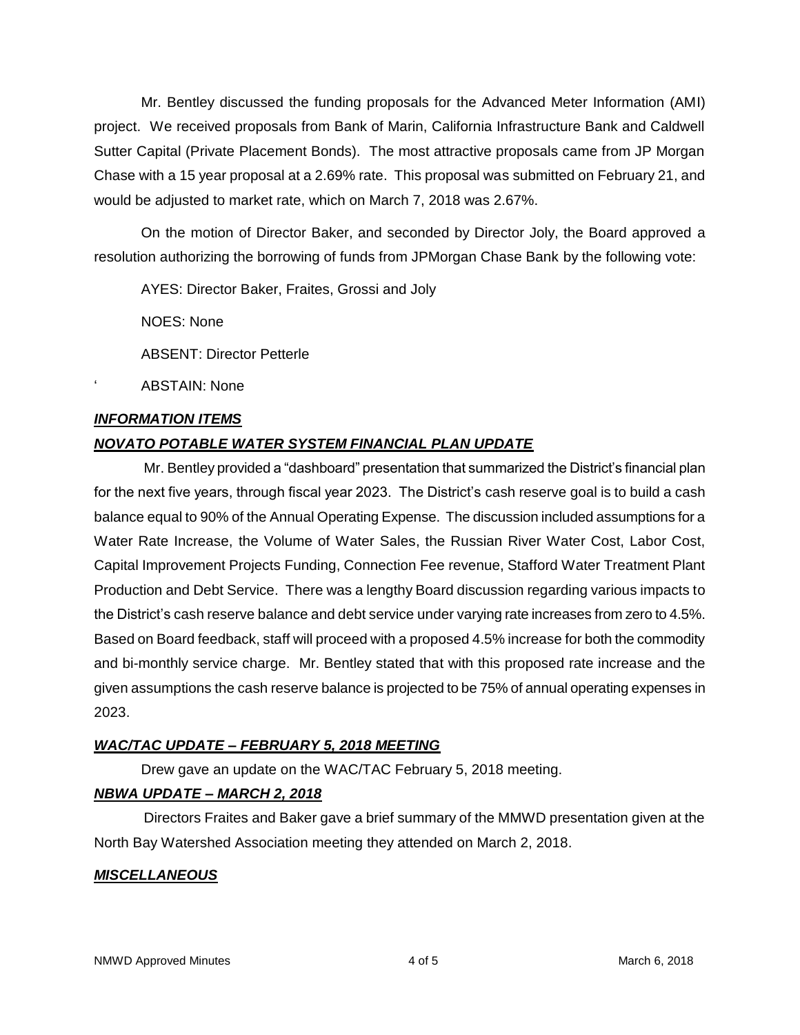Mr. Bentley discussed the funding proposals for the Advanced Meter Information (AMI) project. We received proposals from Bank of Marin, California Infrastructure Bank and Caldwell Sutter Capital (Private Placement Bonds). The most attractive proposals came from JP Morgan Chase with a 15 year proposal at a 2.69% rate. This proposal was submitted on February 21, and would be adjusted to market rate, which on March 7, 2018 was 2.67%.

On the motion of Director Baker, and seconded by Director Joly, the Board approved a resolution authorizing the borrowing of funds from JPMorgan Chase Bank by the following vote:

AYES: Director Baker, Fraites, Grossi and Joly

NOES: None

ABSENT: Director Petterle

ABSTAIN: None

### *INFORMATION ITEMS*

## *NOVATO POTABLE WATER SYSTEM FINANCIAL PLAN UPDATE*

Mr. Bentley provided a "dashboard" presentation that summarized the District's financial plan for the next five years, through fiscal year 2023. The District's cash reserve goal is to build a cash balance equal to 90% of the Annual Operating Expense. The discussion included assumptions for a Water Rate Increase, the Volume of Water Sales, the Russian River Water Cost, Labor Cost, Capital Improvement Projects Funding, Connection Fee revenue, Stafford Water Treatment Plant Production and Debt Service. There was a lengthy Board discussion regarding various impacts to the District's cash reserve balance and debt service under varying rate increases from zero to 4.5%. Based on Board feedback, staff will proceed with a proposed 4.5% increase for both the commodity and bi-monthly service charge. Mr. Bentley stated that with this proposed rate increase and the given assumptions the cash reserve balance is projected to be 75% of annual operating expenses in 2023.

### *WAC/TAC UPDATE – FEBRUARY 5, 2018 MEETING*

Drew gave an update on the WAC/TAC February 5, 2018 meeting.

# *NBWA UPDATE – MARCH 2, 2018*

Directors Fraites and Baker gave a brief summary of the MMWD presentation given at the North Bay Watershed Association meeting they attended on March 2, 2018.

### *MISCELLANEOUS*